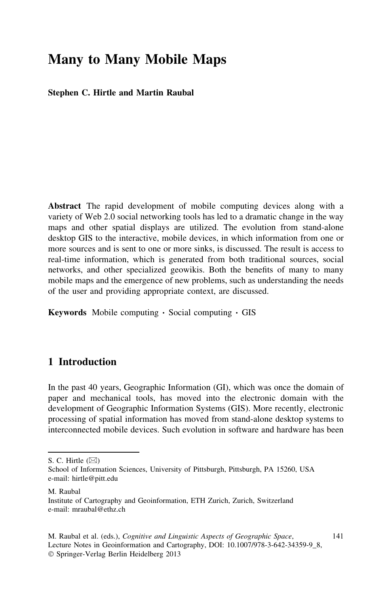# Many to Many Mobile Maps

Stephen C. Hirtle and Martin Raubal

Abstract The rapid development of mobile computing devices along with a variety of Web 2.0 social networking tools has led to a dramatic change in the way maps and other spatial displays are utilized. The evolution from stand-alone desktop GIS to the interactive, mobile devices, in which information from one or more sources and is sent to one or more sinks, is discussed. The result is access to real-time information, which is generated from both traditional sources, social networks, and other specialized geowikis. Both the benefits of many to many mobile maps and the emergence of new problems, such as understanding the needs of the user and providing appropriate context, are discussed.

Keywords Mobile computing  $\cdot$  Social computing  $\cdot$  GIS

# 1 Introduction

In the past 40 years, Geographic Information (GI), which was once the domain of paper and mechanical tools, has moved into the electronic domain with the development of Geographic Information Systems (GIS). More recently, electronic processing of spatial information has moved from stand-alone desktop systems to interconnected mobile devices. Such evolution in software and hardware has been

S. C. Hirtle  $(\boxtimes)$ 

M. Raubal

141

School of Information Sciences, University of Pittsburgh, Pittsburgh, PA 15260, USA e-mail: hirtle@pitt.edu

Institute of Cartography and Geoinformation, ETH Zurich, Zurich, Switzerland e-mail: mraubal@ethz.ch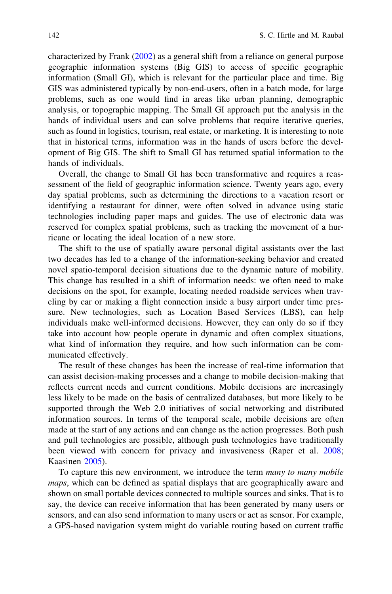characterized by Frank [\(2002](#page-14-0)) as a general shift from a reliance on general purpose geographic information systems (Big GIS) to access of specific geographic information (Small GI), which is relevant for the particular place and time. Big GIS was administered typically by non-end-users, often in a batch mode, for large problems, such as one would find in areas like urban planning, demographic analysis, or topographic mapping. The Small GI approach put the analysis in the hands of individual users and can solve problems that require iterative queries, such as found in logistics, tourism, real estate, or marketing. It is interesting to note that in historical terms, information was in the hands of users before the development of Big GIS. The shift to Small GI has returned spatial information to the hands of individuals.

Overall, the change to Small GI has been transformative and requires a reassessment of the field of geographic information science. Twenty years ago, every day spatial problems, such as determining the directions to a vacation resort or identifying a restaurant for dinner, were often solved in advance using static technologies including paper maps and guides. The use of electronic data was reserved for complex spatial problems, such as tracking the movement of a hurricane or locating the ideal location of a new store.

The shift to the use of spatially aware personal digital assistants over the last two decades has led to a change of the information-seeking behavior and created novel spatio-temporal decision situations due to the dynamic nature of mobility. This change has resulted in a shift of information needs: we often need to make decisions on the spot, for example, locating needed roadside services when traveling by car or making a flight connection inside a busy airport under time pressure. New technologies, such as Location Based Services (LBS), can help individuals make well-informed decisions. However, they can only do so if they take into account how people operate in dynamic and often complex situations, what kind of information they require, and how such information can be communicated effectively.

The result of these changes has been the increase of real-time information that can assist decision-making processes and a change to mobile decision-making that reflects current needs and current conditions. Mobile decisions are increasingly less likely to be made on the basis of centralized databases, but more likely to be supported through the Web 2.0 initiatives of social networking and distributed information sources. In terms of the temporal scale, mobile decisions are often made at the start of any actions and can change as the action progresses. Both push and pull technologies are possible, although push technologies have traditionally been viewed with concern for privacy and invasiveness (Raper et al. [2008;](#page-15-0) Kaasinen [2005](#page-14-0)).

To capture this new environment, we introduce the term many to many mobile maps, which can be defined as spatial displays that are geographically aware and shown on small portable devices connected to multiple sources and sinks. That is to say, the device can receive information that has been generated by many users or sensors, and can also send information to many users or act as sensor. For example, a GPS-based navigation system might do variable routing based on current traffic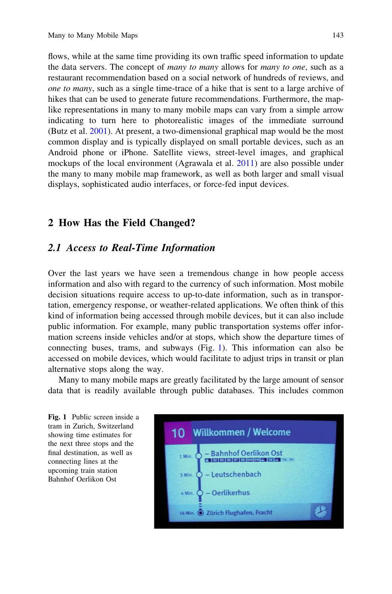flows, while at the same time providing its own traffic speed information to update the data servers. The concept of *many to many* allows for *many to one*, such as a restaurant recommendation based on a social network of hundreds of reviews, and one to many, such as a single time-trace of a hike that is sent to a large archive of hikes that can be used to generate future recommendations. Furthermore, the maplike representations in many to many mobile maps can vary from a simple arrow indicating to turn here to photorealistic images of the immediate surround (Butz et al. [2001\)](#page-13-0). At present, a two-dimensional graphical map would be the most common display and is typically displayed on small portable devices, such as an Android phone or iPhone. Satellite views, street-level images, and graphical mockups of the local environment (Agrawala et al. [2011\)](#page-13-0) are also possible under the many to many mobile map framework, as well as both larger and small visual displays, sophisticated audio interfaces, or force-fed input devices.

### 2 How Has the Field Changed?

### 2.1 Access to Real-Time Information

Over the last years we have seen a tremendous change in how people access information and also with regard to the currency of such information. Most mobile decision situations require access to up-to-date information, such as in transportation, emergency response, or weather-related applications. We often think of this kind of information being accessed through mobile devices, but it can also include public information. For example, many public transportation systems offer information screens inside vehicles and/or at stops, which show the departure times of connecting buses, trams, and subways (Fig. 1). This information can also be accessed on mobile devices, which would facilitate to adjust trips in transit or plan alternative stops along the way.

Many to many mobile maps are greatly facilitated by the large amount of sensor data that is readily available through public databases. This includes common

Fig. 1 Public screen inside a tram in Zurich, Switzerland showing time estimates for the next three stops and the final destination, as well as connecting lines at the upcoming train station Bahnhof Oerlikon Ost

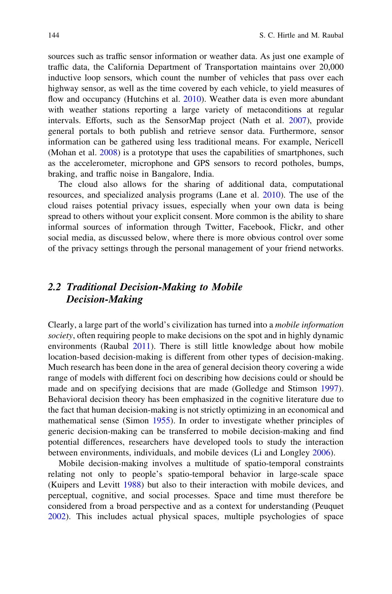sources such as traffic sensor information or weather data. As just one example of traffic data, the California Department of Transportation maintains over 20,000 inductive loop sensors, which count the number of vehicles that pass over each highway sensor, as well as the time covered by each vehicle, to yield measures of flow and occupancy (Hutchins et al. [2010\)](#page-14-0). Weather data is even more abundant with weather stations reporting a large variety of metaconditions at regular intervals. Efforts, such as the SensorMap project (Nath et al. [2007\)](#page-15-0), provide general portals to both publish and retrieve sensor data. Furthermore, sensor information can be gathered using less traditional means. For example, Nericell (Mohan et al. [2008\)](#page-15-0) is a prototype that uses the capabilities of smartphones, such as the accelerometer, microphone and GPS sensors to record potholes, bumps, braking, and traffic noise in Bangalore, India.

The cloud also allows for the sharing of additional data, computational resources, and specialized analysis programs (Lane et al. [2010\)](#page-14-0). The use of the cloud raises potential privacy issues, especially when your own data is being spread to others without your explicit consent. More common is the ability to share informal sources of information through Twitter, Facebook, Flickr, and other social media, as discussed below, where there is more obvious control over some of the privacy settings through the personal management of your friend networks.

# 2.2 Traditional Decision-Making to Mobile Decision-Making

Clearly, a large part of the world's civilization has turned into a mobile information society, often requiring people to make decisions on the spot and in highly dynamic environments (Raubal  $2011$ ). There is still little knowledge about how mobile location-based decision-making is different from other types of decision-making. Much research has been done in the area of general decision theory covering a wide range of models with different foci on describing how decisions could or should be made and on specifying decisions that are made (Golledge and Stimson [1997\)](#page-14-0). Behavioral decision theory has been emphasized in the cognitive literature due to the fact that human decision-making is not strictly optimizing in an economical and mathematical sense (Simon [1955\)](#page-15-0). In order to investigate whether principles of generic decision-making can be transferred to mobile decision-making and find potential differences, researchers have developed tools to study the interaction between environments, individuals, and mobile devices (Li and Longley [2006\)](#page-15-0).

Mobile decision-making involves a multitude of spatio-temporal constraints relating not only to people's spatio-temporal behavior in large-scale space (Kuipers and Levitt [1988](#page-14-0)) but also to their interaction with mobile devices, and perceptual, cognitive, and social processes. Space and time must therefore be considered from a broad perspective and as a context for understanding (Peuquet [2002\)](#page-15-0). This includes actual physical spaces, multiple psychologies of space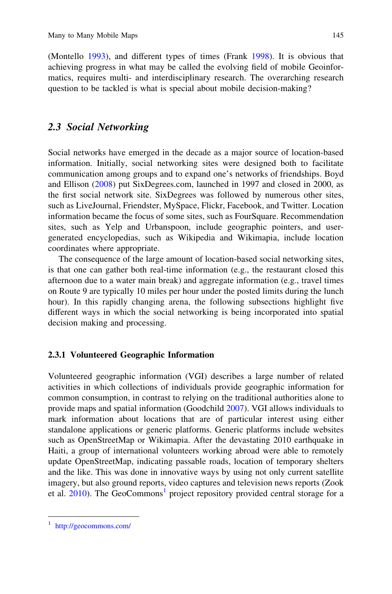(Montello [1993](#page-15-0)), and different types of times (Frank [1998](#page-14-0)). It is obvious that achieving progress in what may be called the evolving field of mobile Geoinformatics, requires multi- and interdisciplinary research. The overarching research question to be tackled is what is special about mobile decision-making?

### 2.3 Social Networking

Social networks have emerged in the decade as a major source of location-based information. Initially, social networking sites were designed both to facilitate communication among groups and to expand one's networks of friendships. Boyd and Ellison [\(2008](#page-13-0)) put SixDegrees.com, launched in 1997 and closed in 2000, as the first social network site. SixDegrees was followed by numerous other sites, such as LiveJournal, Friendster, MySpace, Flickr, Facebook, and Twitter. Location information became the focus of some sites, such as FourSquare. Recommendation sites, such as Yelp and Urbanspoon, include geographic pointers, and usergenerated encyclopedias, such as Wikipedia and Wikimapia, include location coordinates where appropriate.

The consequence of the large amount of location-based social networking sites, is that one can gather both real-time information (e.g., the restaurant closed this afternoon due to a water main break) and aggregate information (e.g., travel times on Route 9 are typically 10 miles per hour under the posted limits during the lunch hour). In this rapidly changing arena, the following subsections highlight five different ways in which the social networking is being incorporated into spatial decision making and processing.

#### 2.3.1 Volunteered Geographic Information

Volunteered geographic information (VGI) describes a large number of related activities in which collections of individuals provide geographic information for common consumption, in contrast to relying on the traditional authorities alone to provide maps and spatial information (Goodchild [2007\)](#page-14-0). VGI allows individuals to mark information about locations that are of particular interest using either standalone applications or generic platforms. Generic platforms include websites such as OpenStreetMap or Wikimapia. After the devastating 2010 earthquake in Haiti, a group of international volunteers working abroad were able to remotely update OpenStreetMap, indicating passable roads, location of temporary shelters and the like. This was done in innovative ways by using not only current satellite imagery, but also ground reports, video captures and television news reports (Zook et al.  $2010$ ). The GeoCommons<sup>1</sup> project repository provided central storage for a

<sup>1</sup> <http://geocommons.com/>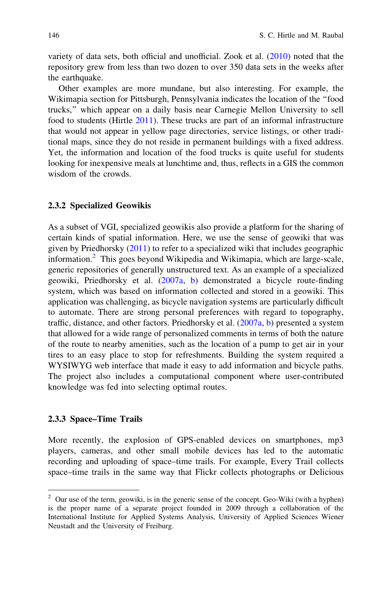variety of data sets, both official and unofficial. Zook et al. ([2010\)](#page-16-0) noted that the repository grew from less than two dozen to over 350 data sets in the weeks after the earthquake.

Other examples are more mundane, but also interesting. For example, the Wikimapia section for Pittsburgh, Pennsylvania indicates the location of the ''food trucks,'' which appear on a daily basis near Carnegie Mellon University to sell food to students (Hirtle [2011](#page-14-0)). These trucks are part of an informal infrastructure that would not appear in yellow page directories, service listings, or other traditional maps, since they do not reside in permanent buildings with a fixed address. Yet, the information and location of the food trucks is quite useful for students looking for inexpensive meals at lunchtime and, thus, reflects in a GIS the common wisdom of the crowds.

#### 2.3.2 Specialized Geowikis

As a subset of VGI, specialized geowikis also provide a platform for the sharing of certain kinds of spatial information. Here, we use the sense of geowiki that was given by Priedhorsky  $(2011)$  $(2011)$  to refer to a specialized wiki that includes geographic information. $<sup>2</sup>$  This goes beyond Wikipedia and Wikimapia, which are large-scale,</sup> generic repositories of generally unstructured text. As an example of a specialized geowiki, Priedhorsky et al. ([2007a](#page-15-0), [b\)](#page-15-0) demonstrated a bicycle route-finding system, which was based on information collected and stored in a geowiki. This application was challenging, as bicycle navigation systems are particularly difficult to automate. There are strong personal preferences with regard to topography, traffic, distance, and other factors. Priedhorsky et al. [\(2007a,](#page-15-0) [b\)](#page-15-0) presented a system that allowed for a wide range of personalized comments in terms of both the nature of the route to nearby amenities, such as the location of a pump to get air in your tires to an easy place to stop for refreshments. Building the system required a WYSIWYG web interface that made it easy to add information and bicycle paths. The project also includes a computational component where user-contributed knowledge was fed into selecting optimal routes.

#### 2.3.3 Space–Time Trails

More recently, the explosion of GPS-enabled devices on smartphones, mp3 players, cameras, and other small mobile devices has led to the automatic recording and uploading of space–time trails. For example, Every Trail collects space–time trails in the same way that Flickr collects photographs or Delicious

<sup>&</sup>lt;sup>2</sup> Our use of the term, geowiki, is in the generic sense of the concept. Geo-Wiki (with a hyphen) is the proper name of a separate project founded in 2009 through a collaboration of the International Institute for Applied Systems Analysis, University of Applied Sciences Wiener Neustadt and the University of Freiburg.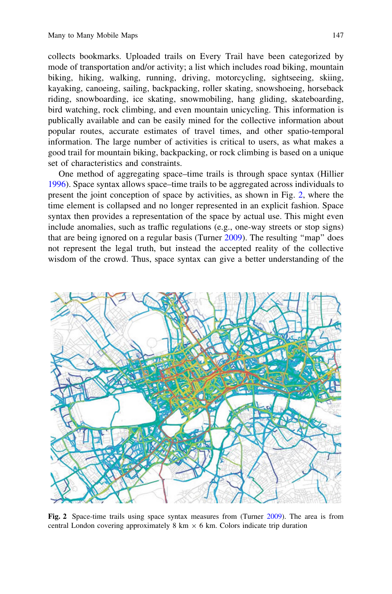collects bookmarks. Uploaded trails on Every Trail have been categorized by mode of transportation and/or activity; a list which includes road biking, mountain biking, hiking, walking, running, driving, motorcycling, sightseeing, skiing, kayaking, canoeing, sailing, backpacking, roller skating, snowshoeing, horseback riding, snowboarding, ice skating, snowmobiling, hang gliding, skateboarding, bird watching, rock climbing, and even mountain unicycling. This information is publically available and can be easily mined for the collective information about popular routes, accurate estimates of travel times, and other spatio-temporal information. The large number of activities is critical to users, as what makes a good trail for mountain biking, backpacking, or rock climbing is based on a unique set of characteristics and constraints.

One method of aggregating space–time trails is through space syntax (Hillier [1996\)](#page-14-0). Space syntax allows space–time trails to be aggregated across individuals to present the joint conception of space by activities, as shown in Fig. 2, where the time element is collapsed and no longer represented in an explicit fashion. Space syntax then provides a representation of the space by actual use. This might even include anomalies, such as traffic regulations (e.g., one-way streets or stop signs) that are being ignored on a regular basis (Turner [2009\)](#page-16-0). The resulting ''map'' does not represent the legal truth, but instead the accepted reality of the collective wisdom of the crowd. Thus, space syntax can give a better understanding of the



Fig. 2 Space-time trails using space syntax measures from (Turner [2009](#page-16-0)). The area is from central London covering approximately 8 km  $\times$  6 km. Colors indicate trip duration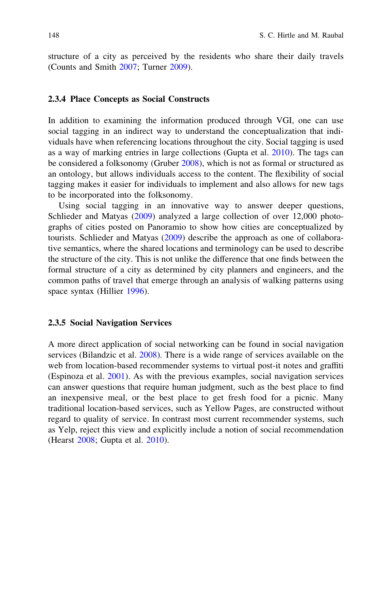structure of a city as perceived by the residents who share their daily travels (Counts and Smith [2007;](#page-13-0) Turner [2009](#page-16-0)).

#### 2.3.4 Place Concepts as Social Constructs

In addition to examining the information produced through VGI, one can use social tagging in an indirect way to understand the conceptualization that individuals have when referencing locations throughout the city. Social tagging is used as a way of marking entries in large collections (Gupta et al. [2010\)](#page-14-0). The tags can be considered a folksonomy (Gruber [2008](#page-14-0)), which is not as formal or structured as an ontology, but allows individuals access to the content. The flexibility of social tagging makes it easier for individuals to implement and also allows for new tags to be incorporated into the folksonomy.

Using social tagging in an innovative way to answer deeper questions, Schlieder and Matyas ([2009\)](#page-15-0) analyzed a large collection of over 12,000 photographs of cities posted on Panoramio to show how cities are conceptualized by tourists. Schlieder and Matyas [\(2009](#page-15-0)) describe the approach as one of collaborative semantics, where the shared locations and terminology can be used to describe the structure of the city. This is not unlike the difference that one finds between the formal structure of a city as determined by city planners and engineers, and the common paths of travel that emerge through an analysis of walking patterns using space syntax (Hillier [1996\)](#page-14-0).

#### 2.3.5 Social Navigation Services

A more direct application of social networking can be found in social navigation services (Bilandzic et al. [2008](#page-13-0)). There is a wide range of services available on the web from location-based recommender systems to virtual post-it notes and graffiti (Espinoza et al. [2001](#page-14-0)). As with the previous examples, social navigation services can answer questions that require human judgment, such as the best place to find an inexpensive meal, or the best place to get fresh food for a picnic. Many traditional location-based services, such as Yellow Pages, are constructed without regard to quality of service. In contrast most current recommender systems, such as Yelp, reject this view and explicitly include a notion of social recommendation (Hearst [2008;](#page-14-0) Gupta et al. [2010](#page-14-0)).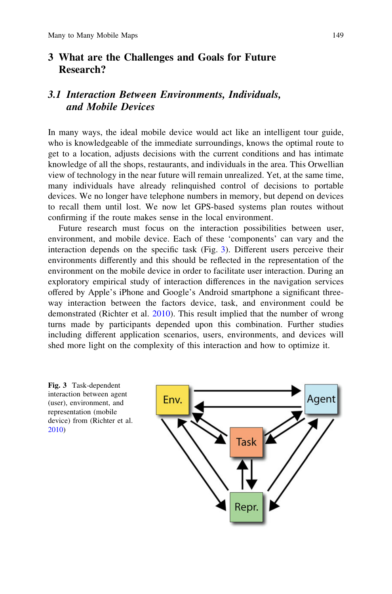# <span id="page-8-0"></span>3 What are the Challenges and Goals for Future Research?

# 3.1 Interaction Between Environments, Individuals, and Mobile Devices

In many ways, the ideal mobile device would act like an intelligent tour guide, who is knowledgeable of the immediate surroundings, knows the optimal route to get to a location, adjusts decisions with the current conditions and has intimate knowledge of all the shops, restaurants, and individuals in the area. This Orwellian view of technology in the near future will remain unrealized. Yet, at the same time, many individuals have already relinquished control of decisions to portable devices. We no longer have telephone numbers in memory, but depend on devices to recall them until lost. We now let GPS-based systems plan routes without confirming if the route makes sense in the local environment.

Future research must focus on the interaction possibilities between user, environment, and mobile device. Each of these 'components' can vary and the interaction depends on the specific task (Fig. 3). Different users perceive their environments differently and this should be reflected in the representation of the environment on the mobile device in order to facilitate user interaction. During an exploratory empirical study of interaction differences in the navigation services offered by Apple's iPhone and Google's Android smartphone a significant threeway interaction between the factors device, task, and environment could be demonstrated (Richter et al. [2010\)](#page-15-0). This result implied that the number of wrong turns made by participants depended upon this combination. Further studies including different application scenarios, users, environments, and devices will shed more light on the complexity of this interaction and how to optimize it.

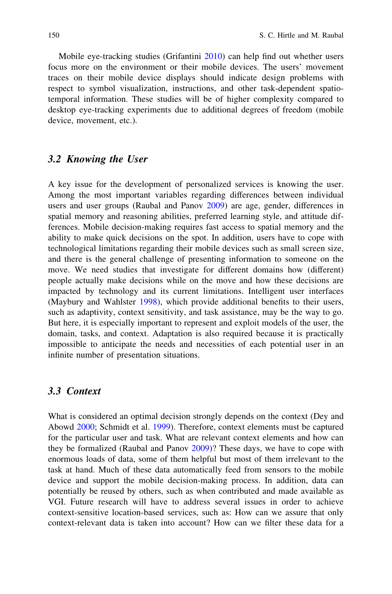Mobile eye-tracking studies (Grifantini [2010](#page-14-0)) can help find out whether users focus more on the environment or their mobile devices. The users' movement traces on their mobile device displays should indicate design problems with respect to symbol visualization, instructions, and other task-dependent spatiotemporal information. These studies will be of higher complexity compared to desktop eye-tracking experiments due to additional degrees of freedom (mobile device, movement, etc.).

### 3.2 Knowing the User

A key issue for the development of personalized services is knowing the user. Among the most important variables regarding differences between individual users and user groups (Raubal and Panov [2009\)](#page-15-0) are age, gender, differences in spatial memory and reasoning abilities, preferred learning style, and attitude differences. Mobile decision-making requires fast access to spatial memory and the ability to make quick decisions on the spot. In addition, users have to cope with technological limitations regarding their mobile devices such as small screen size, and there is the general challenge of presenting information to someone on the move. We need studies that investigate for different domains how (different) people actually make decisions while on the move and how these decisions are impacted by technology and its current limitations. Intelligent user interfaces (Maybury and Wahlster [1998](#page-15-0)), which provide additional benefits to their users, such as adaptivity, context sensitivity, and task assistance, may be the way to go. But here, it is especially important to represent and exploit models of the user, the domain, tasks, and context. Adaptation is also required because it is practically impossible to anticipate the needs and necessities of each potential user in an infinite number of presentation situations.

#### 3.3 Context

What is considered an optimal decision strongly depends on the context (Dey and Abowd [2000](#page-13-0); Schmidt et al. [1999](#page-15-0)). Therefore, context elements must be captured for the particular user and task. What are relevant context elements and how can they be formalized (Raubal and Panov [2009\)](#page-15-0)? These days, we have to cope with enormous loads of data, some of them helpful but most of them irrelevant to the task at hand. Much of these data automatically feed from sensors to the mobile device and support the mobile decision-making process. In addition, data can potentially be reused by others, such as when contributed and made available as VGI. Future research will have to address several issues in order to achieve context-sensitive location-based services, such as: How can we assure that only context-relevant data is taken into account? How can we filter these data for a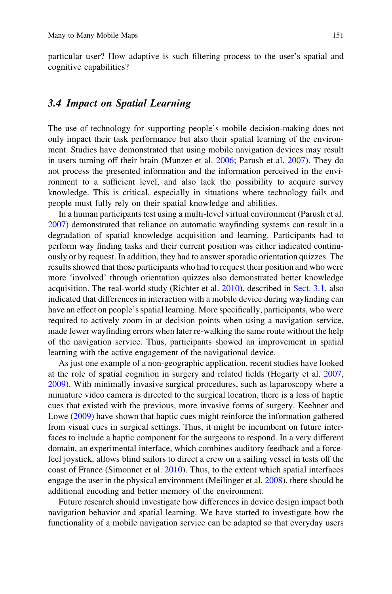particular user? How adaptive is such filtering process to the user's spatial and cognitive capabilities?

# 3.4 Impact on Spatial Learning

The use of technology for supporting people's mobile decision-making does not only impact their task performance but also their spatial learning of the environment. Studies have demonstrated that using mobile navigation devices may result in users turning off their brain (Munzer et al. [2006](#page-15-0); Parush et al. [2007](#page-15-0)). They do not process the presented information and the information perceived in the environment to a sufficient level, and also lack the possibility to acquire survey knowledge. This is critical, especially in situations where technology fails and people must fully rely on their spatial knowledge and abilities.

In a human participants test using a multi-level virtual environment (Parush et al. [2007\)](#page-15-0) demonstrated that reliance on automatic wayfinding systems can result in a degradation of spatial knowledge acquisition and learning. Participants had to perform way finding tasks and their current position was either indicated continuously or by request. In addition, they had to answer sporadic orientation quizzes. The results showed that those participants who had to request their position and who were more 'involved' through orientation quizzes also demonstrated better knowledge acquisition. The real-world study (Richter et al. [2010\)](#page-15-0), described in [Sect. 3.1](#page-8-0), also indicated that differences in interaction with a mobile device during wayfinding can have an effect on people's spatial learning. More specifically, participants, who were required to actively zoom in at decision points when using a navigation service, made fewer wayfinding errors when later re-walking the same route without the help of the navigation service. Thus, participants showed an improvement in spatial learning with the active engagement of the navigational device.

As just one example of a non-geographic application, recent studies have looked at the role of spatial cognition in surgery and related fields (Hegarty et al. [2007](#page-14-0), [2009\)](#page-14-0). With minimally invasive surgical procedures, such as laparoscopy where a miniature video camera is directed to the surgical location, there is a loss of haptic cues that existed with the previous, more invasive forms of surgery. Keehner and Lowe [\(2009](#page-14-0)) have shown that haptic cues might reinforce the information gathered from visual cues in surgical settings. Thus, it might be incumbent on future interfaces to include a haptic component for the surgeons to respond. In a very different domain, an experimental interface, which combines auditory feedback and a forcefeel joystick, allows blind sailors to direct a crew on a sailing vessel in tests off the coast of France (Simonnet et al. [2010\)](#page-16-0). Thus, to the extent which spatial interfaces engage the user in the physical environment (Meilinger et al. [2008\)](#page-15-0), there should be additional encoding and better memory of the environment.

Future research should investigate how differences in device design impact both navigation behavior and spatial learning. We have started to investigate how the functionality of a mobile navigation service can be adapted so that everyday users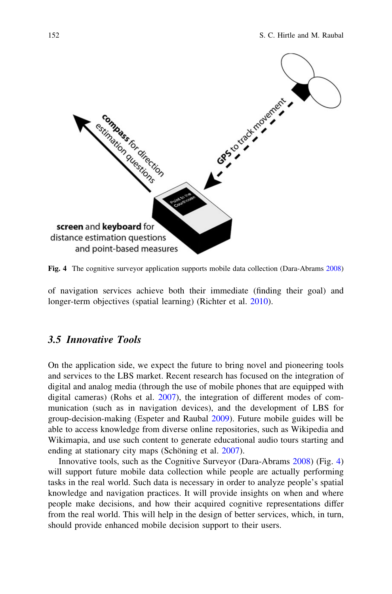

Fig. 4 The cognitive surveyor application supports mobile data collection (Dara-Abrams [2008\)](#page-13-0)

of navigation services achieve both their immediate (finding their goal) and longer-term objectives (spatial learning) (Richter et al. [2010\)](#page-15-0).

# 3.5 Innovative Tools

On the application side, we expect the future to bring novel and pioneering tools and services to the LBS market. Recent research has focused on the integration of digital and analog media (through the use of mobile phones that are equipped with digital cameras) (Rohs et al. [2007](#page-15-0)), the integration of different modes of communication (such as in navigation devices), and the development of LBS for group-decision-making (Espeter and Raubal [2009](#page-13-0)). Future mobile guides will be able to access knowledge from diverse online repositories, such as Wikipedia and Wikimapia, and use such content to generate educational audio tours starting and ending at stationary city maps (Schöning et al. [2007\)](#page-15-0).

Innovative tools, such as the Cognitive Surveyor (Dara-Abrams [2008](#page-13-0)) (Fig. 4) will support future mobile data collection while people are actually performing tasks in the real world. Such data is necessary in order to analyze people's spatial knowledge and navigation practices. It will provide insights on when and where people make decisions, and how their acquired cognitive representations differ from the real world. This will help in the design of better services, which, in turn, should provide enhanced mobile decision support to their users.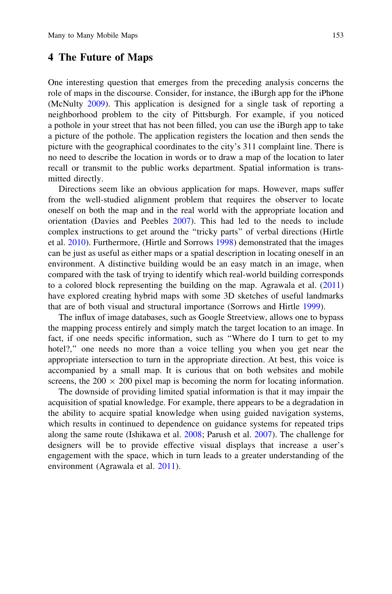# 4 The Future of Maps

One interesting question that emerges from the preceding analysis concerns the role of maps in the discourse. Consider, for instance, the iBurgh app for the iPhone (McNulty [2009\)](#page-15-0). This application is designed for a single task of reporting a neighborhood problem to the city of Pittsburgh. For example, if you noticed a pothole in your street that has not been filled, you can use the iBurgh app to take a picture of the pothole. The application registers the location and then sends the picture with the geographical coordinates to the city's 311 complaint line. There is no need to describe the location in words or to draw a map of the location to later recall or transmit to the public works department. Spatial information is transmitted directly.

Directions seem like an obvious application for maps. However, maps suffer from the well-studied alignment problem that requires the observer to locate oneself on both the map and in the real world with the appropriate location and orientation (Davies and Peebles [2007\)](#page-13-0). This had led to the needs to include complex instructions to get around the ''tricky parts'' of verbal directions (Hirtle et al. [2010](#page-14-0)). Furthermore, (Hirtle and Sorrows [1998\)](#page-14-0) demonstrated that the images can be just as useful as either maps or a spatial description in locating oneself in an environment. A distinctive building would be an easy match in an image, when compared with the task of trying to identify which real-world building corresponds to a colored block representing the building on the map. Agrawala et al. [\(2011](#page-13-0)) have explored creating hybrid maps with some 3D sketches of useful landmarks that are of both visual and structural importance (Sorrows and Hirtle [1999](#page-16-0)).

The influx of image databases, such as Google Streetview, allows one to bypass the mapping process entirely and simply match the target location to an image. In fact, if one needs specific information, such as ''Where do I turn to get to my hotel?," one needs no more than a voice telling you when you get near the appropriate intersection to turn in the appropriate direction. At best, this voice is accompanied by a small map. It is curious that on both websites and mobile screens, the  $200 \times 200$  pixel map is becoming the norm for locating information.

The downside of providing limited spatial information is that it may impair the acquisition of spatial knowledge. For example, there appears to be a degradation in the ability to acquire spatial knowledge when using guided navigation systems, which results in continued to dependence on guidance systems for repeated trips along the same route (Ishikawa et al. [2008](#page-14-0); Parush et al. [2007](#page-15-0)). The challenge for designers will be to provide effective visual displays that increase a user's engagement with the space, which in turn leads to a greater understanding of the environment (Agrawala et al. [2011](#page-13-0)).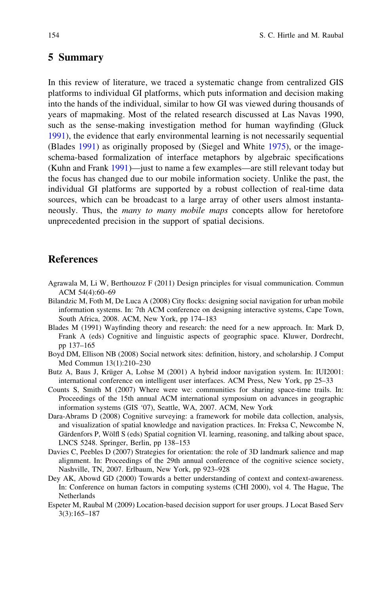### <span id="page-13-0"></span>5 Summary

In this review of literature, we traced a systematic change from centralized GIS platforms to individual GI platforms, which puts information and decision making into the hands of the individual, similar to how GI was viewed during thousands of years of mapmaking. Most of the related research discussed at Las Navas 1990, such as the sense-making investigation method for human wayfinding (Gluck [1991\)](#page-14-0), the evidence that early environmental learning is not necessarily sequential (Blades 1991) as originally proposed by (Siegel and White [1975\)](#page-15-0), or the imageschema-based formalization of interface metaphors by algebraic specifications (Kuhn and Frank [1991](#page-14-0))—just to name a few examples—are still relevant today but the focus has changed due to our mobile information society. Unlike the past, the individual GI platforms are supported by a robust collection of real-time data sources, which can be broadcast to a large array of other users almost instantaneously. Thus, the many to many mobile maps concepts allow for heretofore unprecedented precision in the support of spatial decisions.

# References

- Agrawala M, Li W, Berthouzoz F (2011) Design principles for visual communication. Commun ACM 54(4):60–69
- Bilandzic M, Foth M, De Luca A (2008) City flocks: designing social navigation for urban mobile information systems. In: 7th ACM conference on designing interactive systems, Cape Town, South Africa, 2008. ACM, New York, pp 174–183
- Blades M (1991) Wayfinding theory and research: the need for a new approach. In: Mark D, Frank A (eds) Cognitive and linguistic aspects of geographic space. Kluwer, Dordrecht, pp 137–165
- Boyd DM, Ellison NB (2008) Social network sites: definition, history, and scholarship. J Comput Med Commun 13(1):210–230
- Butz A, Baus J, Krüger A, Lohse M (2001) A hybrid indoor navigation system. In: IUI2001: international conference on intelligent user interfaces. ACM Press, New York, pp 25–33
- Counts S, Smith M (2007) Where were we: communities for sharing space-time trails. In: Proceedings of the 15th annual ACM international symposium on advances in geographic information systems (GIS '07), Seattle, WA, 2007. ACM, New York
- Dara-Abrams D (2008) Cognitive surveying: a framework for mobile data collection, analysis, and visualization of spatial knowledge and navigation practices. In: Freksa C, Newcombe N, Gärdenfors P, Wölfl S (eds) Spatial cognition VI. learning, reasoning, and talking about space, LNCS 5248. Springer, Berlin, pp 138–153
- Davies C, Peebles D (2007) Strategies for orientation: the role of 3D landmark salience and map alignment. In: Proceedings of the 29th annual conference of the cognitive science society, Nashville, TN, 2007. Erlbaum, New York, pp 923–928
- Dey AK, Abowd GD (2000) Towards a better understanding of context and context-awareness. In: Conference on human factors in computing systems (CHI 2000), vol 4. The Hague, The Netherlands
- Espeter M, Raubal M (2009) Location-based decision support for user groups. J Locat Based Serv 3(3):165–187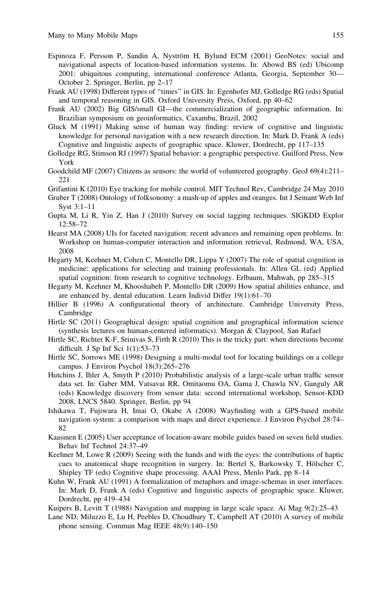- <span id="page-14-0"></span>Espinoza F, Persson P, Sandin A, Nyström H, Bylund ECM (2001) GeoNotes: social and navigational aspects of location-based information systems. In: Abowd BS (ed) Ubicomp 2001: ubiquitous computing, international conference Atlanta, Georgia, September 30— October 2. Springer, Berlin, pp 2–17
- Frank AU (1998) Different types of ''times'' in GIS. In: Egenhofer MJ, Golledge RG (eds) Spatial and temporal reasoning in GIS. Oxford University Press, Oxford, pp 40–62
- Frank AU (2002) Big GIS/small GI—the commercialization of geographic information. In: Brazilian symposium on geoinformatics, Caxambu, Brazil, 2002
- Gluck M (1991) Making sense of human way finding: review of cognitive and linguistic knowledge for personal navigation with a new research direction. In: Mark D, Frank A (eds) Cognitive and linguistic aspects of geographic space. Kluwer, Dordrecht, pp 117–135
- Golledge RG, Stimson RJ (1997) Spatial behavior: a geographic perspective. Guilford Press, New York
- Goodchild MF (2007) Citizens as sensors: the world of volunteered geography. GeoJ 69(4):211– 221
- Grifantini K (2010) Eye tracking for mobile control. MIT Technol Rev, Cambridge 24 May 2010
- Gruber T (2008) Ontology of folksonomy: a mash-up of apples and oranges. Int J Semant Web Inf Syst 3:1–11
- Gupta M, Li R, Yin Z, Han J (2010) Survey on social tagging techniques. SIGKDD Explor 12:58–72
- Hearst MA (2008) UIs for faceted navigation: recent advances and remaining open problems. In: Workshop on human-computer interaction and information retrieval, Redmond, WA, USA, 2008
- Hegarty M, Keehner M, Cohen C, Montello DR, Lippa Y (2007) The role of spatial cognition in medicine: applications for selecting and training professionals. In: Allen GL (ed) Applied spatial cognition: from research to cognitive technology. Erlbaum, Mahwah, pp 285–315
- Hegarty M, Keehner M, Khooshabeh P, Montello DR (2009) How spatial abilities enhance, and are enhanced by, dental education. Learn Individ Differ 19(1):61–70
- Hillier B (1996) A configurational theory of architecture. Cambridge University Press, Cambridge
- Hirtle SC (2011) Geographical design: spatial cognition and geographical information science (synthesis lectures on human-centered informatics). Morgan & Claypool, San Rafael
- Hirtle SC, Richter K-F, Srinivas S, Firth R (2010) This is the tricky part: when directions become difficult. J Sp Inf Sci 1(1):53–73
- Hirtle SC, Sorrows ME (1998) Designing a multi-modal tool for locating buildings on a college campus. J Environ Psychol 18(3):265–276
- Hutchins J, Ihler A, Smyth P (2010) Probabilistic analysis of a large-scale urban traffic sensor data set. In: Gaber MM, Vatsavai RR, Omitaomu OA, Gama J, Chawla NV, Ganguly AR (eds) Knowledge discovery from sensor data: second international workshop, Sensor-KDD 2008, LNCS 5840. Springer, Berlin, pp 94
- Ishikawa T, Fujiwara H, Imai O, Okabe A (2008) Wayfinding with a GPS-based mobile navigation system: a comparison with maps and direct experience. J Environ Psychol 28:74– 82
- Kaasinen E (2005) User acceptance of location-aware mobile guides based on seven field studies. Behav Inf Technol 24:37–49
- Keehner M, Lowe R (2009) Seeing with the hands and with the eyes: the contributions of haptic cues to anatomical shape recognition in surgery. In: Bertel S, Barkowsky T, Hölscher C, Shipley TF (eds) Cognitive shape processing. AAAI Press, Menlo Park, pp 8–14
- Kuhn W, Frank AU (1991) A formalization of metaphors and image-schemas in user interfaces. In: Mark D, Frank A (eds) Cognitive and linguistic aspects of geographic space. Kluwer, Dordrecht, pp 419–434
- Kuipers B, Levitt T (1988) Navigation and mapping in large scale space. Ai Mag 9(2):25–43
- Lane ND, Miluzzo E, Lu H, Peebles D, Choudhury T, Campbell AT (2010) A survey of mobile phone sensing. Commun Mag IEEE 48(9):140–150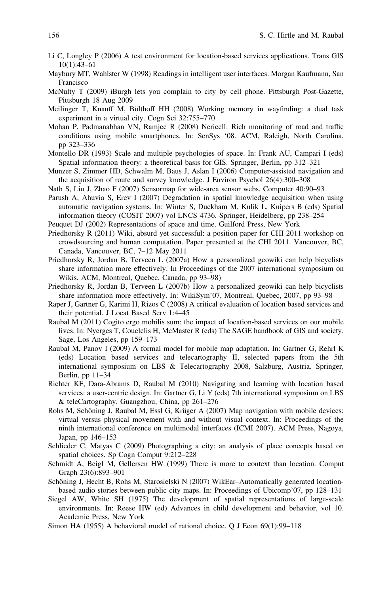- <span id="page-15-0"></span>Li C, Longley P (2006) A test environment for location-based services applications. Trans GIS 10(1):43–61
- Maybury MT, Wahlster W (1998) Readings in intelligent user interfaces. Morgan Kaufmann, San Francisco
- McNulty T (2009) iBurgh lets you complain to city by cell phone. Pittsburgh Post-Gazette, Pittsburgh 18 Aug 2009
- Meilinger T, Knauff M, Bülthoff HH (2008) Working memory in wayfinding: a dual task experiment in a virtual city. Cogn Sci 32:755–770
- Mohan P, Padmanabhan VN, Ramjee R (2008) Nericell: Rich monitoring of road and traffic conditions using mobile smartphones. In: SenSys '08. ACM, Raleigh, North Carolina, pp 323–336
- Montello DR (1993) Scale and multiple psychologies of space. In: Frank AU, Campari I (eds) Spatial information theory: a theoretical basis for GIS. Springer, Berlin, pp 312–321
- Munzer S, Zimmer HD, Schwalm M, Baus J, Aslan I (2006) Computer-assisted navigation and the acquisition of route and survey knowledge. J Environ Psychol 26(4):300–308
- Nath S, Liu J, Zhao F (2007) Sensormap for wide-area sensor webs. Computer 40:90–93
- Parush A, Ahuvia S, Erev I (2007) Degradation in spatial knowledge acquisition when using automatic navigation systems. In: Winter S, Duckham M, Kulik L, Kuipers B (eds) Spatial information theory (COSIT 2007) vol LNCS 4736. Springer, Heidelberg, pp 238–254
- Peuquet DJ (2002) Representations of space and time. Guilford Press, New York
- Priedhorsky R (2011) Wiki, absurd yet successful: a position paper for CHI 2011 workshop on crowdsourcing and human computation. Paper presented at the CHI 2011. Vancouver, BC, Canada, Vancouver, BC, 7–12 May 2011
- Priedhorsky R, Jordan B, Terveen L (2007a) How a personalized geowiki can help bicyclists share information more effectively. In Proceedings of the 2007 international symposium on Wikis. ACM, Montreal, Quebec, Canada, pp 93–98)
- Priedhorsky R, Jordan B, Terveen L (2007b) How a personalized geowiki can help bicyclists share information more effectively. In: WikiSym'07, Montreal, Quebec, 2007, pp 93–98
- Raper J, Gartner G, Karimi H, Rizos C (2008) A critical evaluation of location based services and their potential. J Locat Based Serv 1:4–45
- Raubal M (2011) Cogito ergo mobilis sum: the impact of location-based services on our mobile lives. In: Nyerges T, Couclelis H, McMaster R (eds) The SAGE handbook of GIS and society. Sage, Los Angeles, pp 159–173
- Raubal M, Panov I (2009) A formal model for mobile map adaptation. In: Gartner G, Rehrl K (eds) Location based services and telecartography II, selected papers from the 5th international symposium on LBS & Telecartography 2008, Salzburg, Austria. Springer, Berlin, pp 11–34
- Richter KF, Dara-Abrams D, Raubal M (2010) Navigating and learning with location based services: a user-centric design. In: Gartner G, Li Y (eds) 7th international symposium on LBS & teleCartography. Guangzhou, China, pp 261–276
- Rohs M, Schöning J, Raubal M, Essl G, Krüger A (2007) Map navigation with mobile devices: virtual versus physical movement with and without visual context. In: Proceedings of the ninth international conference on multimodal interfaces (ICMI 2007). ACM Press, Nagoya, Japan, pp 146–153
- Schlieder C, Matyas C (2009) Photographing a city: an analysis of place concepts based on spatial choices. Sp Cogn Comput 9:212–228
- Schmidt A, Beigl M, Gellersen HW (1999) There is more to context than location. Comput Graph 23(6):893–901
- Schöning J, Hecht B, Rohs M, Starosielski N (2007) WikEar–Automatically generated locationbased audio stories between public city maps. In: Proceedings of Ubicomp'07, pp 128–131
- Siegel AW, White SH (1975) The development of spatial representations of large-scale environments. In: Reese HW (ed) Advances in child development and behavior, vol 10. Academic Press, New York
- Simon HA (1955) A behavioral model of rational choice. Q J Econ 69(1):99–118